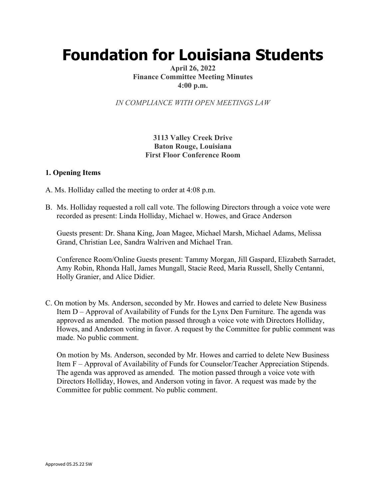# **Foundation for Louisiana Students**

#### **April 26, 2022 Finance Committee Meeting Minutes 4:00 p.m.**

*IN COMPLIANCE WITH OPEN MEETINGS LAW*

## **3113 Valley Creek Drive Baton Rouge, Louisiana First Floor Conference Room**

#### **1. Opening Items**

- A. Ms. Holliday called the meeting to order at 4:08 p.m.
- B. Ms. Holliday requested a roll call vote. The following Directors through a voice vote were recorded as present: Linda Holliday, Michael w. Howes, and Grace Anderson

Guests present: Dr. Shana King, Joan Magee, Michael Marsh, Michael Adams, Melissa Grand, Christian Lee, Sandra Walriven and Michael Tran.

Conference Room/Online Guests present: Tammy Morgan, Jill Gaspard, Elizabeth Sarradet, Amy Robin, Rhonda Hall, James Mungall, Stacie Reed, Maria Russell, Shelly Centanni, Holly Granier, and Alice Didier.

C. On motion by Ms. Anderson, seconded by Mr. Howes and carried to delete New Business Item D – Approval of Availability of Funds for the Lynx Den Furniture. The agenda was approved as amended. The motion passed through a voice vote with Directors Holliday, Howes, and Anderson voting in favor. A request by the Committee for public comment was made. No public comment.

On motion by Ms. Anderson, seconded by Mr. Howes and carried to delete New Business Item F – Approval of Availability of Funds for Counselor/Teacher Appreciation Stipends. The agenda was approved as amended. The motion passed through a voice vote with Directors Holliday, Howes, and Anderson voting in favor. A request was made by the Committee for public comment. No public comment.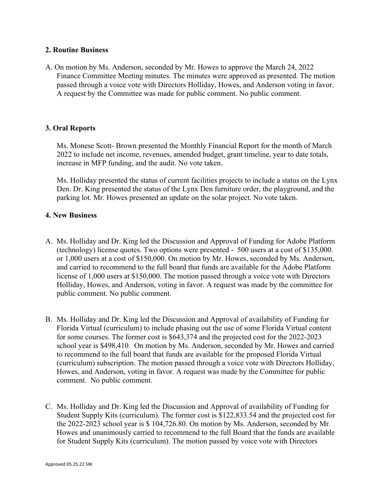#### **2. Routine Business**

A. On motion by Ms. Anderson, seconded by Mr. Howes to approve the March 24, 2022 Finance Committee Meeting minutes. The minutes were approved as presented. The motion passed through a voice vote with Directors Holliday, Howes, and Anderson voting in favor. A request by the Committee was made for public comment. No public comment.

#### **3. Oral Reports**

Ms. Monese Scott- Brown presented the Monthly Financial Report for the month of March 2022 to include net income, revenues, amended budget, grant timeline, year to date totals, increase in MFP funding, and the audit. No vote taken.

Ms. Holliday presented the status of current facilities projects to include a status on the Lynx Den. Dr. King presented the status of the Lynx Den furniture order, the playground, and the parking lot. Mr. Howes presented an update on the solar project. No vote taken.

## **4. New Business**

- A. Ms. Holliday and Dr. King led the Discussion and Approval of Funding for Adobe Platform (technology) license quotes. Two options were presented - 500 users at a cost of \$135,000. or 1,000 users at a cost of \$150,000. On motion by Mr. Howes, seconded by Ms. Anderson, and carried to recommend to the full board that funds are available for the Adobe Platform license of 1,000 users at \$150,000. The motion passed through a voice vote with Directors Holliday, Howes, and Anderson, voting in favor. A request was made by the committee for public comment. No public comment.
- B. Ms. Holliday and Dr. King led the Discussion and Approval of availability of Funding for Florida Virtual (curriculum) to include phasing out the use of some Florida Virtual content for some courses. The former cost is \$643,374 and the projected cost for the 2022-2023 school year is \$498,410. On motion by Ms. Anderson, seconded by Mr. Howes and carried to recommend to the full board that funds are available for the proposed Florida Virtual (curriculum) subscription. The motion passed through a voice vote with Directors Holliday, Howes, and Anderson, voting in favor. A request was made by the Committee for public comment. No public comment.
- C. Ms. Holliday and Dr. King led the Discussion and Approval of availability of Funding for Student Supply Kits (curriculum). The former cost is \$122,833.54 and the projected cost for the 2022-2023 school year is \$ 104,726.80. On motion by Ms. Anderson, seconded by Mr. Howes and unanimously carried to recommend to the full Board that the funds are available for Student Supply Kits (curriculum). The motion passed by voice vote with Directors